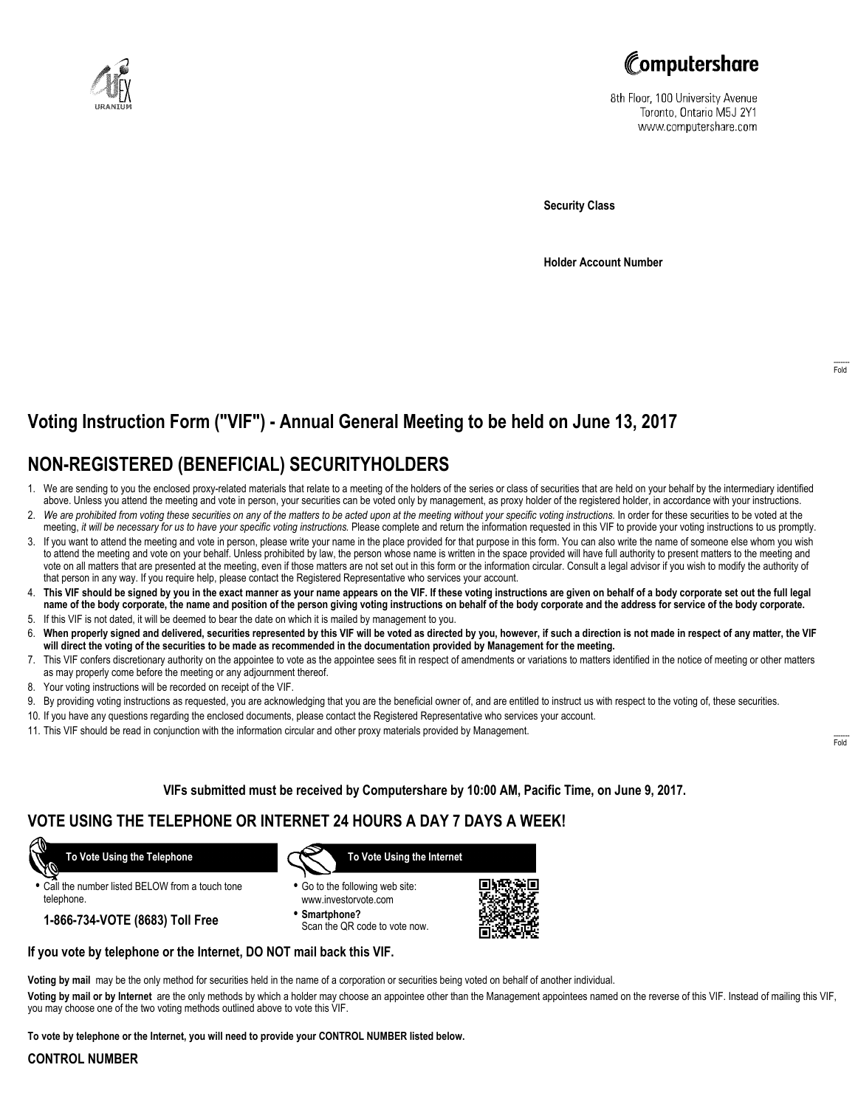



8th Floor, 100 University Avenue Toronto, Ontario M5J 2Y1 www.computershare.com

**Security Class**

**Holder Account Number**

# **Voting Instruction Form ("VIF") - Annual General Meeting to be held on June 13, 2017**

## **NON-REGISTERED (BENEFICIAL) SECURITYHOLDERS**

- 1. We are sending to you the enclosed proxy-related materials that relate to a meeting of the holders of the series or class of securities that are held on your behalf by the intermediary identified above. Unless you attend the meeting and vote in person, your securities can be voted only by management, as proxy holder of the registered holder, in accordance with your instructions.
- 2. *We are prohibited from voting these securities on any of the matters to be acted upon at the meeting without your specific voting instructions.* In order for these securities to be voted at the meeting, *it will be necessary for us to have your specific voting instructions.* Please complete and return the information requested in this VIF to provide your voting instructions to us promptly.
- 3. If you want to attend the meeting and vote in person, please write your name in the place provided for that purpose in this form. You can also write the name of someone else whom you wish to attend the meeting and vote on your behalf. Unless prohibited by law, the person whose name is written in the space provided will have full authority to present matters to the meeting and vote on all matters that are presented at the meeting, even if those matters are not set out in this form or the information circular. Consult a legal advisor if you wish to modify the authority of that person in any way. If you require help, please contact the Registered Representative who services your account.
- 4. **This VIF should be signed by you in the exact manner as your name appears on the VIF. If these voting instructions are given on behalf of a body corporate set out the full legal name of the body corporate, the name and position of the person giving voting instructions on behalf of the body corporate and the address for service of the body corporate.**
- 5. If this VIF is not dated, it will be deemed to bear the date on which it is mailed by management to you.
- 6. **When properly signed and delivered, securities represented by this VIF will be voted as directed by you, however, if such a direction is not made in respect of any matter, the VIF will direct the voting of the securities to be made as recommended in the documentation provided by Management for the meeting.**
- 7. This VIF confers discretionary authority on the appointee to vote as the appointee sees fit in respect of amendments or variations to matters identified in the notice of meeting or other matters as may properly come before the meeting or any adjournment thereof.
- 8. Your voting instructions will be recorded on receipt of the VIF.
- 9. By providing voting instructions as requested, you are acknowledging that you are the beneficial owner of, and are entitled to instruct us with respect to the voting of, these securities.
- 10. If you have any questions regarding the enclosed documents, please contact the Registered Representative who services your account.
- 11. This VIF should be read in conjunction with the information circular and other proxy materials provided by Management.

**VIFs submitted must be received by Computershare by 10:00 AM, Pacific Time, on June 9, 2017.**

## **VOTE USING THE TELEPHONE OR INTERNET 24 HOURS A DAY 7 DAYS A WEEK!**

 **To Vote Using the Telephone**

**•** Call the number listed BELOW from a touch tone telephone.

**1-866-734-VOTE (8683) Toll Free**



- **•** Go to the following web site: www.investorvote.com
- **• Smartphone?** Scan the QR code to vote now.



#### **If you vote by telephone or the Internet, DO NOT mail back this VIF.**

**Voting by mail** may be the only method for securities held in the name of a corporation or securities being voted on behalf of another individual.

**Voting by mail or by Internet** are the only methods by which a holder may choose an appointee other than the Management appointees named on the reverse of this VIF. Instead of mailing this VIF, you may choose one of the two voting methods outlined above to vote this VIF.

**To vote by telephone or the Internet, you will need to provide your CONTROL NUMBER listed below.**

#### **CONTROL NUMBER**